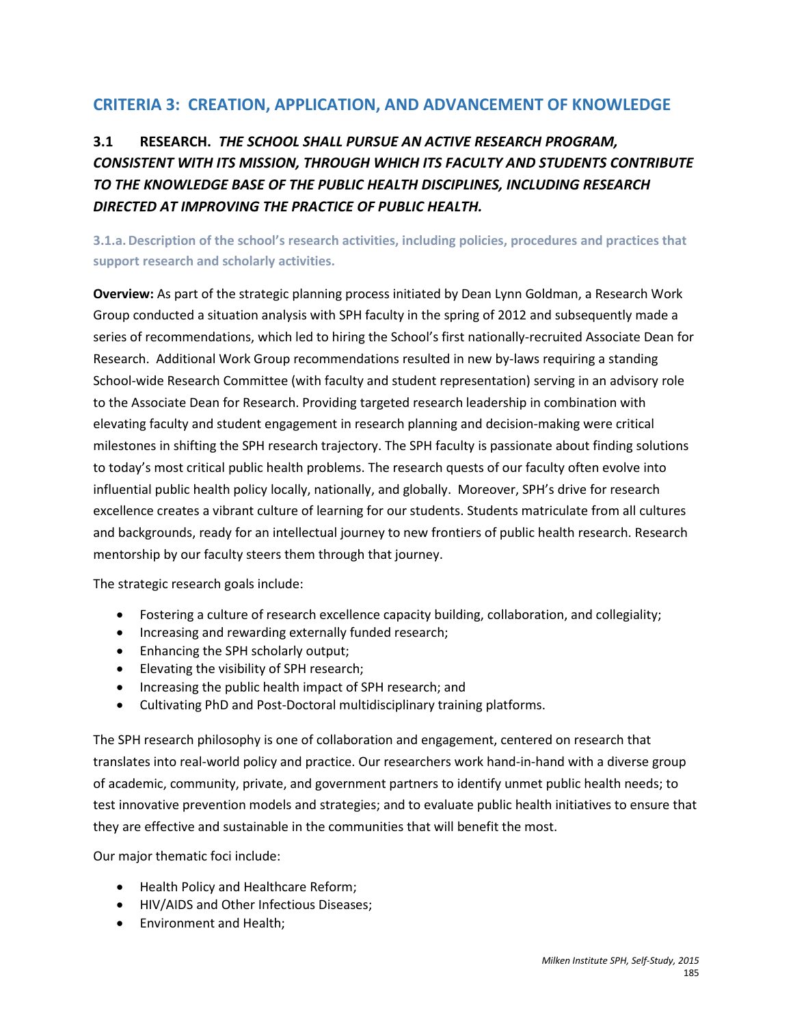# **CRITERIA 3: CREATION, APPLICATION, AND ADVANCEMENT OF KNOWLEDGE**

# **3.1 RESEARCH.** *THE SCHOOL SHALL PURSUE AN ACTIVE RESEARCH PROGRAM, CONSISTENT WITH ITS MISSION, THROUGH WHICH ITS FACULTY AND STUDENTS CONTRIBUTE TO THE KNOWLEDGE BASE OF THE PUBLIC HEALTH DISCIPLINES, INCLUDING RESEARCH DIRECTED AT IMPROVING THE PRACTICE OF PUBLIC HEALTH.*

**3.1.a.Description of the school's research activities, including policies, procedures and practices that support research and scholarly activities.**

**Overview:** As part of the strategic planning process initiated by Dean Lynn Goldman, a Research Work Group conducted a situation analysis with SPH faculty in the spring of 2012 and subsequently made a series of recommendations, which led to hiring the School's first nationally-recruited Associate Dean for Research. Additional Work Group recommendations resulted in new by-laws requiring a standing School-wide Research Committee (with faculty and student representation) serving in an advisory role to the Associate Dean for Research. Providing targeted research leadership in combination with elevating faculty and student engagement in research planning and decision-making were critical milestones in shifting the SPH research trajectory. The SPH faculty is passionate about finding solutions to today's most critical public health problems. The research quests of our faculty often evolve into influential public health policy locally, nationally, and globally. Moreover, SPH's drive for research excellence creates a vibrant culture of learning for our students. Students matriculate from all cultures and backgrounds, ready for an intellectual journey to new frontiers of public health research. Research mentorship by our faculty steers them through that journey.

The strategic research goals include:

- Fostering a culture of research excellence capacity building, collaboration, and collegiality;
- Increasing and rewarding externally funded research;
- Enhancing the SPH scholarly output;
- Elevating the visibility of SPH research;
- Increasing the public health impact of SPH research; and
- Cultivating PhD and Post-Doctoral multidisciplinary training platforms.

The SPH research philosophy is one of collaboration and engagement, centered on research that translates into real-world policy and practice. Our researchers work hand-in-hand with a diverse group of academic, community, private, and government partners to identify unmet public health needs; to test innovative prevention models and strategies; and to evaluate public health initiatives to ensure that they are effective and sustainable in the communities that will benefit the most.

Our major thematic foci include:

- Health Policy and Healthcare Reform;
- HIV/AIDS and Other Infectious Diseases;
- Environment and Health;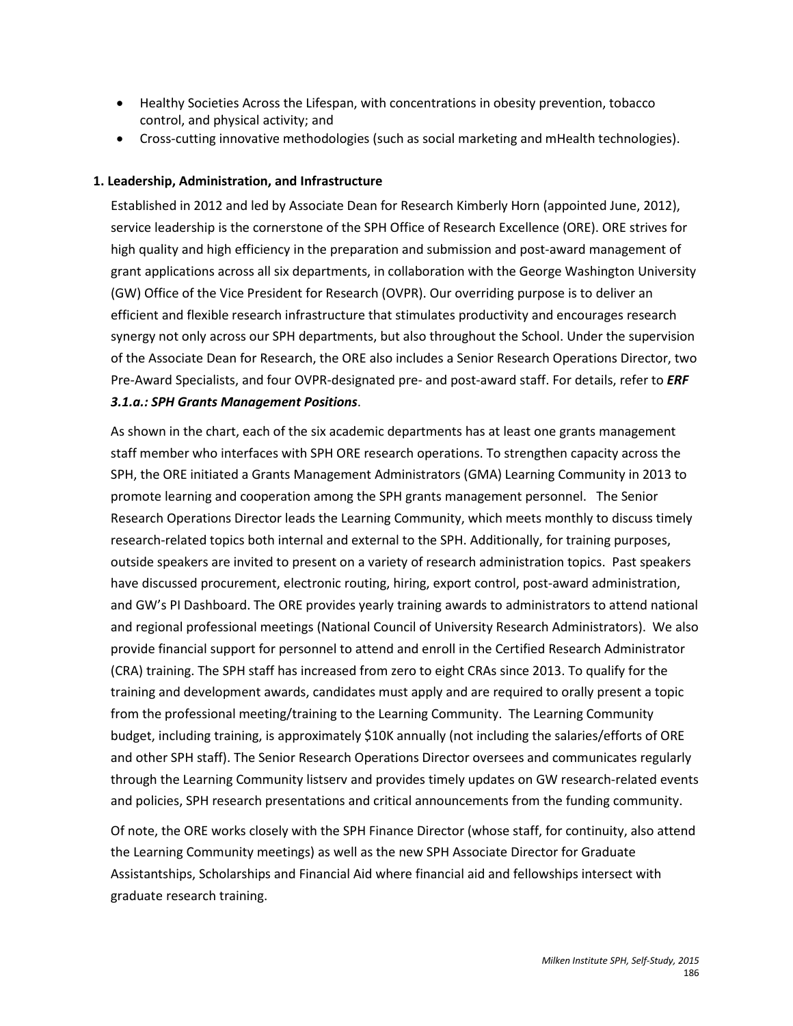- Healthy Societies Across the Lifespan, with concentrations in obesity prevention, tobacco control, and physical activity; and
- Cross-cutting innovative methodologies (such as social marketing and mHealth technologies).

## **1. Leadership, Administration, and Infrastructure**

Established in 2012 and led by Associate Dean for Research Kimberly Horn (appointed June, 2012), service leadership is the cornerstone of the SPH Office of Research Excellence (ORE). ORE strives for high quality and high efficiency in the preparation and submission and post-award management of grant applications across all six departments, in collaboration with the George Washington University (GW) Office of the Vice President for Research (OVPR). Our overriding purpose is to deliver an efficient and flexible research infrastructure that stimulates productivity and encourages research synergy not only across our SPH departments, but also throughout the School. Under the supervision of the Associate Dean for Research, the ORE also includes a Senior Research Operations Director, two Pre-Award Specialists, and four OVPR-designated pre- and post-award staff. For details, refer to *ERF 3.1.a.: SPH Grants Management Positions*.

As shown in the chart, each of the six academic departments has at least one grants management staff member who interfaces with SPH ORE research operations. To strengthen capacity across the SPH, the ORE initiated a Grants Management Administrators (GMA) Learning Community in 2013 to promote learning and cooperation among the SPH grants management personnel. The Senior Research Operations Director leads the Learning Community, which meets monthly to discuss timely research-related topics both internal and external to the SPH. Additionally, for training purposes, outside speakers are invited to present on a variety of research administration topics. Past speakers have discussed procurement, electronic routing, hiring, export control, post-award administration, and GW's PI Dashboard. The ORE provides yearly training awards to administrators to attend national and regional professional meetings (National Council of University Research Administrators). We also provide financial support for personnel to attend and enroll in the Certified Research Administrator (CRA) training. The SPH staff has increased from zero to eight CRAs since 2013. To qualify for the training and development awards, candidates must apply and are required to orally present a topic from the professional meeting/training to the Learning Community. The Learning Community budget, including training, is approximately \$10K annually (not including the salaries/efforts of ORE and other SPH staff). The Senior Research Operations Director oversees and communicates regularly through the Learning Community listserv and provides timely updates on GW research-related events and policies, SPH research presentations and critical announcements from the funding community.

Of note, the ORE works closely with the SPH Finance Director (whose staff, for continuity, also attend the Learning Community meetings) as well as the new SPH Associate Director for Graduate Assistantships, Scholarships and Financial Aid where financial aid and fellowships intersect with graduate research training.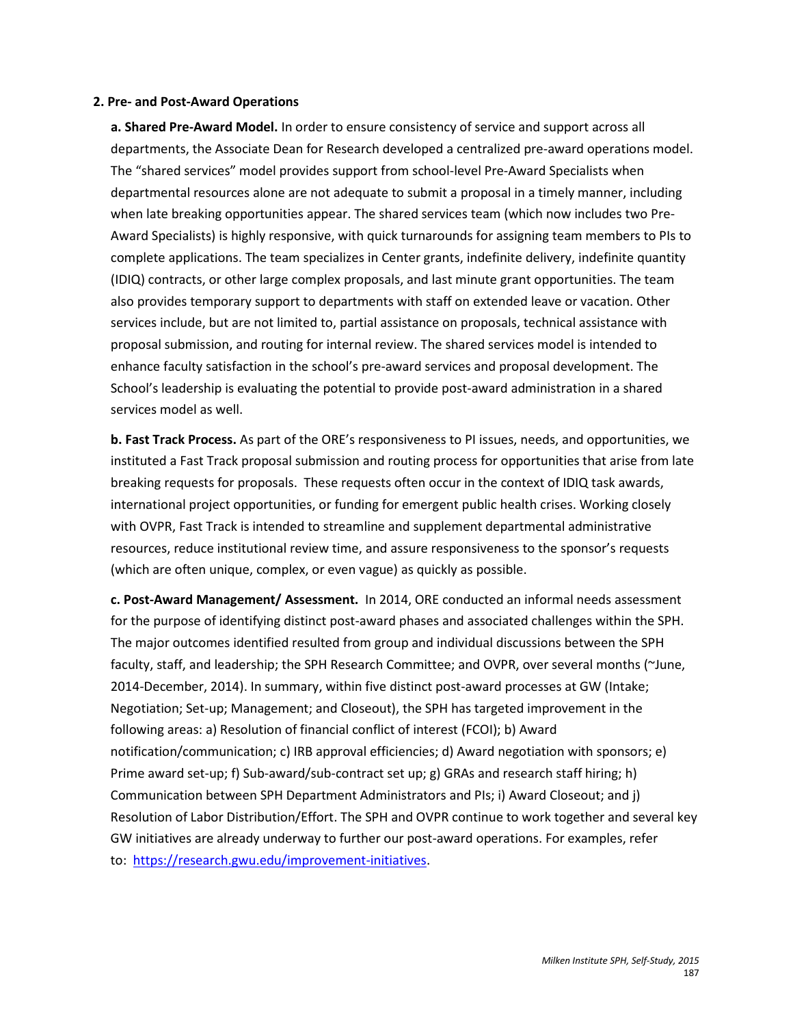#### **2. Pre- and Post-Award Operations**

**a. Shared Pre-Award Model.** In order to ensure consistency of service and support across all departments, the Associate Dean for Research developed a centralized pre-award operations model. The "shared services" model provides support from school-level Pre-Award Specialists when departmental resources alone are not adequate to submit a proposal in a timely manner, including when late breaking opportunities appear. The shared services team (which now includes two Pre-Award Specialists) is highly responsive, with quick turnarounds for assigning team members to PIs to complete applications. The team specializes in Center grants, indefinite delivery, indefinite quantity (IDIQ) contracts, or other large complex proposals, and last minute grant opportunities. The team also provides temporary support to departments with staff on extended leave or vacation. Other services include, but are not limited to, partial assistance on proposals, technical assistance with proposal submission, and routing for internal review. The shared services model is intended to enhance faculty satisfaction in the school's pre-award services and proposal development. The School's leadership is evaluating the potential to provide post-award administration in a shared services model as well.

**b. Fast Track Process.** As part of the ORE's responsiveness to PI issues, needs, and opportunities, we instituted a Fast Track proposal submission and routing process for opportunities that arise from late breaking requests for proposals. These requests often occur in the context of IDIQ task awards, international project opportunities, or funding for emergent public health crises. Working closely with OVPR, Fast Track is intended to streamline and supplement departmental administrative resources, reduce institutional review time, and assure responsiveness to the sponsor's requests (which are often unique, complex, or even vague) as quickly as possible.

**c. Post-Award Management/ Assessment.** In 2014, ORE conducted an informal needs assessment for the purpose of identifying distinct post-award phases and associated challenges within the SPH. The major outcomes identified resulted from group and individual discussions between the SPH faculty, staff, and leadership; the SPH Research Committee; and OVPR, over several months (~June, 2014-December, 2014). In summary, within five distinct post-award processes at GW (Intake; Negotiation; Set-up; Management; and Closeout), the SPH has targeted improvement in the following areas: a) Resolution of financial conflict of interest (FCOI); b) Award notification/communication; c) IRB approval efficiencies; d) Award negotiation with sponsors; e) Prime award set-up; f) Sub-award/sub-contract set up; g) GRAs and research staff hiring; h) Communication between SPH Department Administrators and PIs; i) Award Closeout; and j) Resolution of Labor Distribution/Effort. The SPH and OVPR continue to work together and several key GW initiatives are already underway to further our post-award operations. For examples, refer to: [https://research.gwu.edu/improvement-initiatives.](https://research.gwu.edu/improvement-initiatives)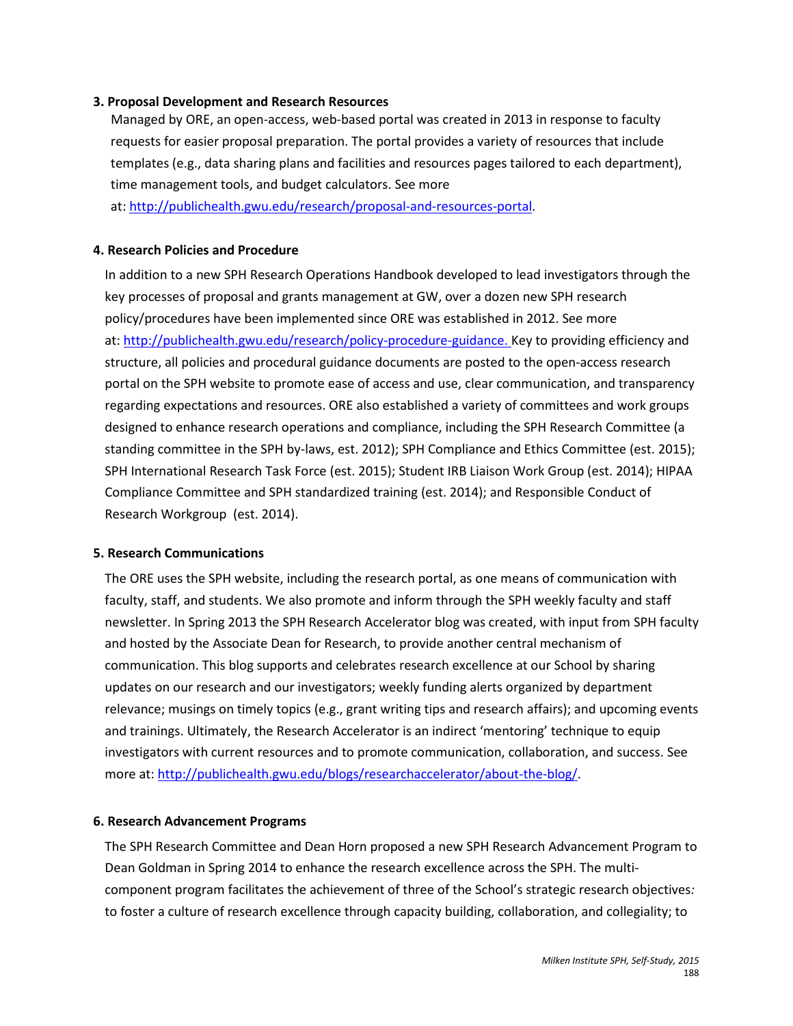#### **3. Proposal Development and Research Resources**

Managed by ORE, an open-access, web-based portal was created in 2013 in response to faculty requests for easier proposal preparation. The portal provides a variety of resources that include templates (e.g., data sharing plans and facilities and resources pages tailored to each department), time management tools, and budget calculators. See more

at: [http://publichealth.gwu.edu/research/proposal-and-resources-portal.](http://publichealth.gwu.edu/research/proposal-and-resources-portal)

### **4. Research Policies and Procedure**

In addition to a new SPH Research Operations Handbook developed to lead investigators through the key processes of proposal and grants management at GW, over a dozen new SPH research policy/procedures have been implemented since ORE was established in 2012. See more at: [http://publichealth.gwu.edu/research/policy-procedure-guidance.](http://publichealth.gwu.edu/research/policy-procedure-guidance) Key to providing efficiency and structure, all policies and procedural guidance documents are posted to the open-access research portal on the SPH website to promote ease of access and use, clear communication, and transparency regarding expectations and resources. ORE also established a variety of committees and work groups designed to enhance research operations and compliance, including the SPH Research Committee (a standing committee in the SPH by-laws, est. 2012); SPH Compliance and Ethics Committee (est. 2015); SPH International Research Task Force (est. 2015); Student IRB Liaison Work Group (est. 2014); HIPAA Compliance Committee and SPH standardized training (est. 2014); and Responsible Conduct of Research Workgroup (est. 2014).

#### **5. Research Communications**

The ORE uses the SPH website, including the research portal, as one means of communication with faculty, staff, and students. We also promote and inform through the SPH weekly faculty and staff newsletter. In Spring 2013 the SPH Research Accelerator blog was created, with input from SPH faculty and hosted by the Associate Dean for Research, to provide another central mechanism of communication. This blog supports and celebrates research excellence at our School by sharing updates on our research and our investigators; weekly funding alerts organized by department relevance; musings on timely topics (e.g., grant writing tips and research affairs); and upcoming events and trainings. Ultimately, the Research Accelerator is an indirect 'mentoring' technique to equip investigators with current resources and to promote communication, collaboration, and success. See more at: [http://publichealth.gwu.edu/blogs/researchaccelerator/about-the-blog/.](http://publichealth.gwu.edu/blogs/researchaccelerator/about-the-blog/)

#### **6. Research Advancement Programs**

The SPH Research Committee and Dean Horn proposed a new SPH Research Advancement Program to Dean Goldman in Spring 2014 to enhance the research excellence across the SPH. The multicomponent program facilitates the achievement of three of the School's strategic research objectives*:*  to foster a culture of research excellence through capacity building, collaboration, and collegiality; to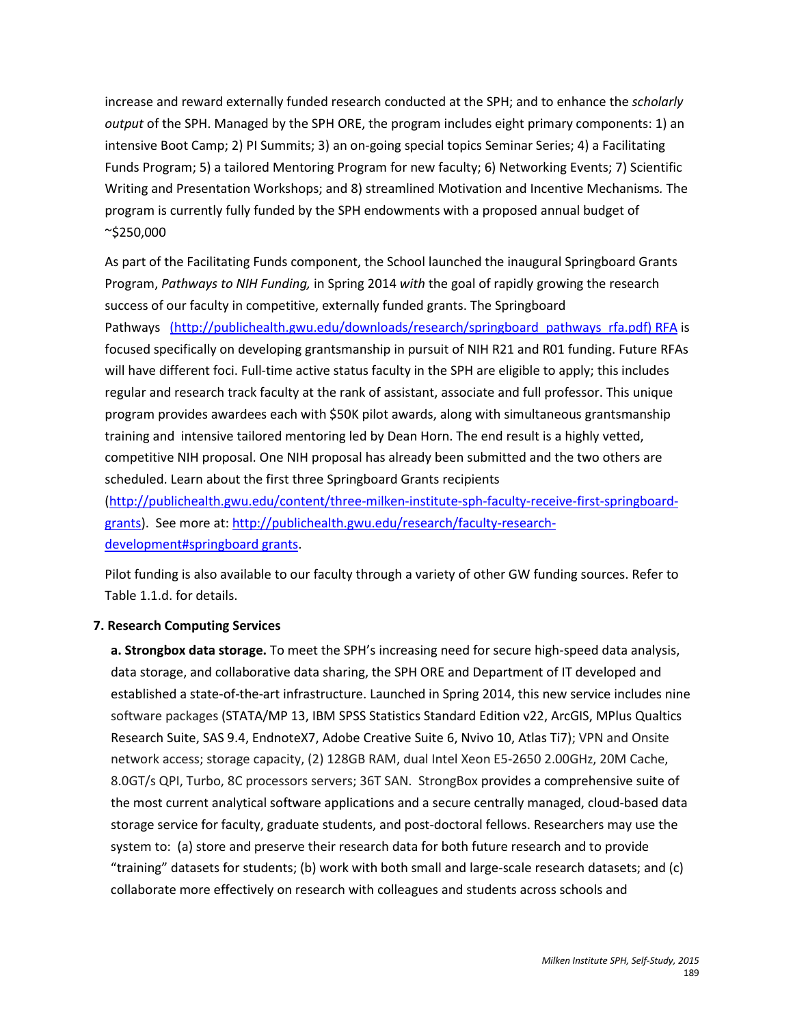increase and reward externally funded research conducted at the SPH; and to enhance the *scholarly output* of the SPH. Managed by the SPH ORE, the program includes eight primary components: 1) an intensive Boot Camp; 2) PI Summits; 3) an on-going special topics Seminar Series; 4) a Facilitating Funds Program; 5) a tailored Mentoring Program for new faculty; 6) Networking Events; 7) Scientific Writing and Presentation Workshops; and 8) streamlined Motivation and Incentive Mechanisms*.* The program is currently fully funded by the SPH endowments with a proposed annual budget of ~\$250,000

As part of the Facilitating Funds component, the School launched the inaugural Springboard Grants Program, *Pathways to NIH Funding,* in Spring 2014 *with* the goal of rapidly growing the research success of our faculty in competitive, externally funded grants. The Springboard Pathways [\(http://publichealth.gwu.edu/downloads/research/springboard\\_pathways\\_rfa.pdf\)](http://publichealth.gwu.edu/downloads/research/springboard_pathways_rfa.pdf) RFA is focused specifically on developing grantsmanship in pursuit of NIH R21 and R01 funding. Future RFAs will have different foci. Full-time active status faculty in the SPH are eligible to apply; this includes regular and research track faculty at the rank of assistant, associate and full professor. This unique program provides awardees each with \$50K pilot awards, along with simultaneous grantsmanship training and intensive tailored mentoring led by Dean Horn. The end result is a highly vetted, competitive NIH proposal. One NIH proposal has already been submitted and the two others are scheduled. Learn about the first three Springboard Grants recipients

[\(http://publichealth.gwu.edu/content/three-milken-institute-sph-faculty-receive-first-springboard](http://publichealth.gwu.edu/content/three-milken-institute-sph-faculty-receive-first-springboard-grants)[grants\)](http://publichealth.gwu.edu/content/three-milken-institute-sph-faculty-receive-first-springboard-grants). See more at: [http://publichealth.gwu.edu/research/faculty-research](http://publichealth.gwu.edu/research/faculty-research-development%23springboard%20grants)[development#springboard grants.](http://publichealth.gwu.edu/research/faculty-research-development%23springboard%20grants)

Pilot funding is also available to our faculty through a variety of other GW funding sources. Refer to Table 1.1.d. for details.

### **7. Research Computing Services**

**a. Strongbox data storage.** To meet the SPH's increasing need for secure high-speed data analysis, data storage, and collaborative data sharing, the SPH ORE and Department of IT developed and established a state-of-the-art infrastructure. Launched in Spring 2014, this new service includes nine software packages (STATA/MP 13, IBM SPSS Statistics Standard Edition v22, ArcGIS, MPlus Qualtics Research Suite, SAS 9.4, EndnoteX7, Adobe Creative Suite 6, Nvivo 10, Atlas Ti7); VPN and Onsite network access; storage capacity, (2) 128GB RAM, dual Intel Xeon E5-2650 2.00GHz, 20M Cache, 8.0GT/s QPI, Turbo, 8C processors servers; 36T SAN. StrongBox provides a comprehensive suite of the most current analytical software applications and a secure centrally managed, cloud-based data storage service for faculty, graduate students, and post-doctoral fellows. Researchers may use the system to: (a) store and preserve their research data for both future research and to provide "training" datasets for students; (b) work with both small and large-scale research datasets; and (c) collaborate more effectively on research with colleagues and students across schools and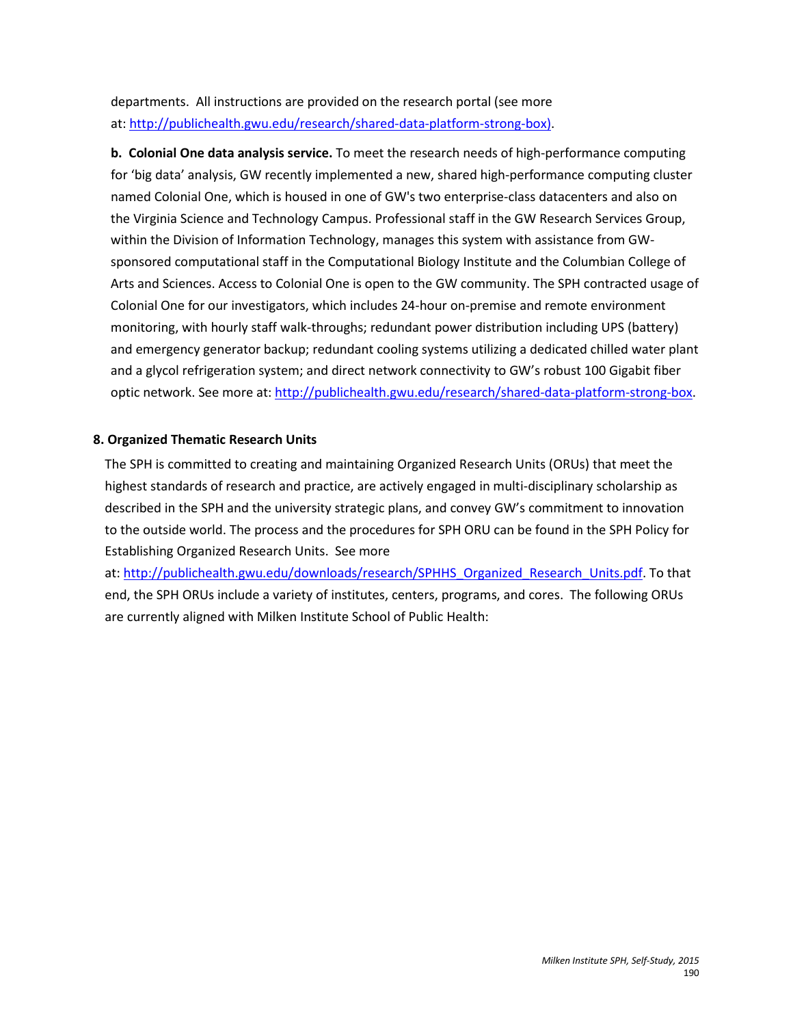departments. All instructions are provided on the research portal (see more at: [http://publichealth.gwu.edu/research/shared-data-platform-strong-box\)](http://publichealth.gwu.edu/research/shared-data-platform-strong-box).

**b. Colonial One data analysis service.** To meet the research needs of high-performance computing for 'big data' analysis, GW recently implemented a new, shared high-performance computing cluster named Colonial One, which is housed in one of GW's two enterprise-class datacenters and also on the Virginia Science and Technology Campus. Professional staff in the GW Research Services Group, within the Division of Information Technology, manages this system with assistance from GWsponsored computational staff in the Computational Biology Institute and the Columbian College of Arts and Sciences. Access to Colonial One is open to the GW community. The SPH contracted usage of Colonial One for our investigators, which includes 24-hour on-premise and remote environment monitoring, with hourly staff walk-throughs; redundant power distribution including UPS (battery) and emergency generator backup; redundant cooling systems utilizing a dedicated chilled water plant and a glycol refrigeration system; and direct network connectivity to GW's robust 100 Gigabit fiber optic network. See more at: [http://publichealth.gwu.edu/research/shared-data-platform-strong-box.](http://publichealth.gwu.edu/research/shared-data-platform-strong-box)

# **8. Organized Thematic Research Units**

The SPH is committed to creating and maintaining Organized Research Units (ORUs) that meet the highest standards of research and practice, are actively engaged in multi-disciplinary scholarship as described in the SPH and the university strategic plans, and convey GW's commitment to innovation to the outside world. The process and the procedures for SPH ORU can be found in the SPH Policy for Establishing Organized Research Units. See more

at: [http://publichealth.gwu.edu/downloads/research/SPHHS\\_Organized\\_Research\\_Units.pdf.](http://publichealth.gwu.edu/downloads/research/SPHHS_Organized_Research_Units.pdf) To that end, the SPH ORUs include a variety of institutes, centers, programs, and cores. The following ORUs are currently aligned with Milken Institute School of Public Health: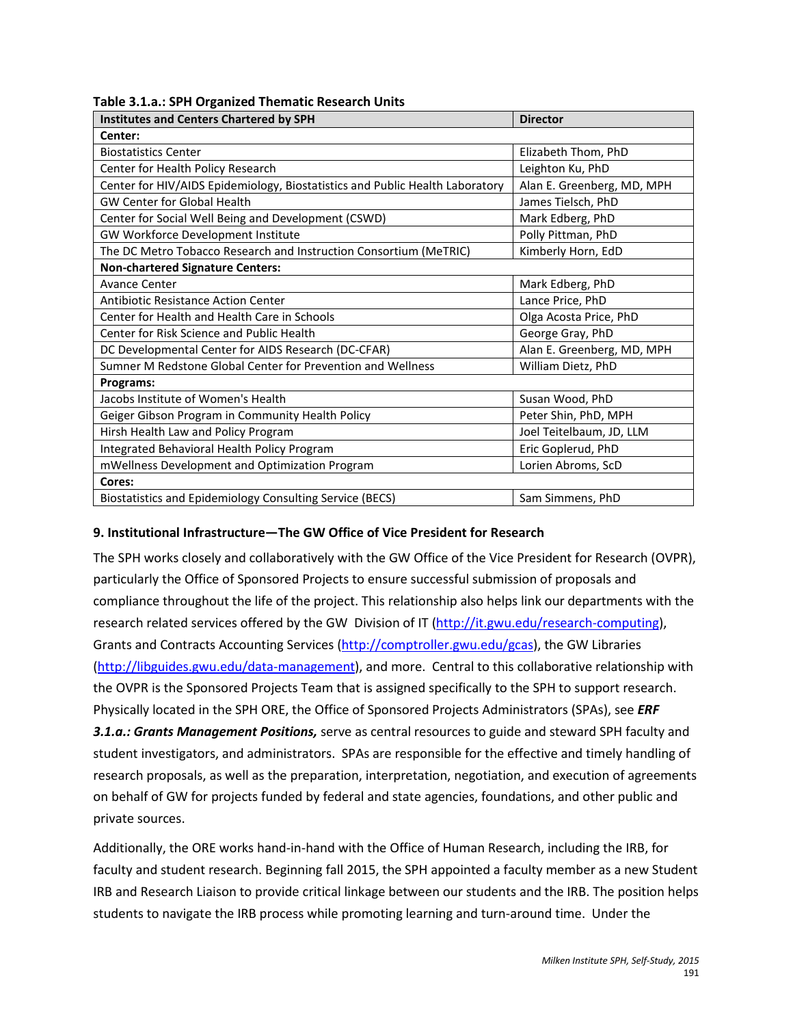| Table 3.1.a.: SPH Organized Thematic Research Units |  |
|-----------------------------------------------------|--|
|-----------------------------------------------------|--|

| <b>Institutes and Centers Chartered by SPH</b>                               | <b>Director</b>            |  |
|------------------------------------------------------------------------------|----------------------------|--|
| Center:                                                                      |                            |  |
| <b>Biostatistics Center</b>                                                  | Elizabeth Thom, PhD        |  |
| Center for Health Policy Research                                            | Leighton Ku, PhD           |  |
| Center for HIV/AIDS Epidemiology, Biostatistics and Public Health Laboratory | Alan E. Greenberg, MD, MPH |  |
| <b>GW Center for Global Health</b>                                           | James Tielsch, PhD         |  |
| Center for Social Well Being and Development (CSWD)                          | Mark Edberg, PhD           |  |
| GW Workforce Development Institute                                           | Polly Pittman, PhD         |  |
| The DC Metro Tobacco Research and Instruction Consortium (MeTRIC)            | Kimberly Horn, EdD         |  |
| <b>Non-chartered Signature Centers:</b>                                      |                            |  |
| <b>Avance Center</b>                                                         | Mark Edberg, PhD           |  |
| <b>Antibiotic Resistance Action Center</b>                                   | Lance Price, PhD           |  |
| Center for Health and Health Care in Schools                                 | Olga Acosta Price, PhD     |  |
| Center for Risk Science and Public Health                                    | George Gray, PhD           |  |
| DC Developmental Center for AIDS Research (DC-CFAR)                          | Alan E. Greenberg, MD, MPH |  |
| Sumner M Redstone Global Center for Prevention and Wellness                  | William Dietz, PhD         |  |
| Programs:                                                                    |                            |  |
| Jacobs Institute of Women's Health                                           | Susan Wood, PhD            |  |
| Geiger Gibson Program in Community Health Policy                             | Peter Shin, PhD, MPH       |  |
| Hirsh Health Law and Policy Program                                          | Joel Teitelbaum, JD, LLM   |  |
| Integrated Behavioral Health Policy Program                                  | Eric Goplerud, PhD         |  |
| mWellness Development and Optimization Program                               | Lorien Abroms, ScD         |  |
| Cores:                                                                       |                            |  |
| Biostatistics and Epidemiology Consulting Service (BECS)                     | Sam Simmens, PhD           |  |

### **9. Institutional Infrastructure—The GW Office of Vice President for Research**

The SPH works closely and collaboratively with the GW Office of the Vice President for Research (OVPR), particularly th[e Office of Sponsored Projects](http://research.gwu.edu/node/7) to ensure successful submission of proposals and compliance throughout the life of the project. This relationship also helps link our departments with the research related services offered by the GW Division of IT [\(http://it.gwu.edu/research-computing\)](http://it.gwu.edu/research-computing), Grants and Contracts Accounting Services [\(http://comptroller.gwu.edu/gcas\)](http://comptroller.gwu.edu/gcas), the GW Libraries [\(http://libguides.gwu.edu/data-management\)](http://libguides.gwu.edu/data-management), and more. Central to this collaborative relationship with the OVPR is the Sponsored Projects Team that is assigned specifically to the SPH to support research. Physically located in the SPH ORE, the Office of Sponsored Projects Administrators (SPAs), see *ERF 3.1.a.: Grants Management Positions,* serve as central resources to guide and steward SPH faculty and student investigators, and administrators. SPAs are responsible for the effective and timely handling of research proposals, as well as the preparation, interpretation, negotiation, and execution of agreements on behalf of GW for projects funded by federal and state agencies, foundations, and other public and private sources.

Additionally, the ORE works hand-in-hand with the Office of Human Research, including the IRB, for faculty and student research. Beginning fall 2015, the SPH appointed a faculty member as a new Student IRB and Research Liaison to provide critical linkage between our students and the IRB. The position helps students to navigate the IRB process while promoting learning and turn-around time. Under the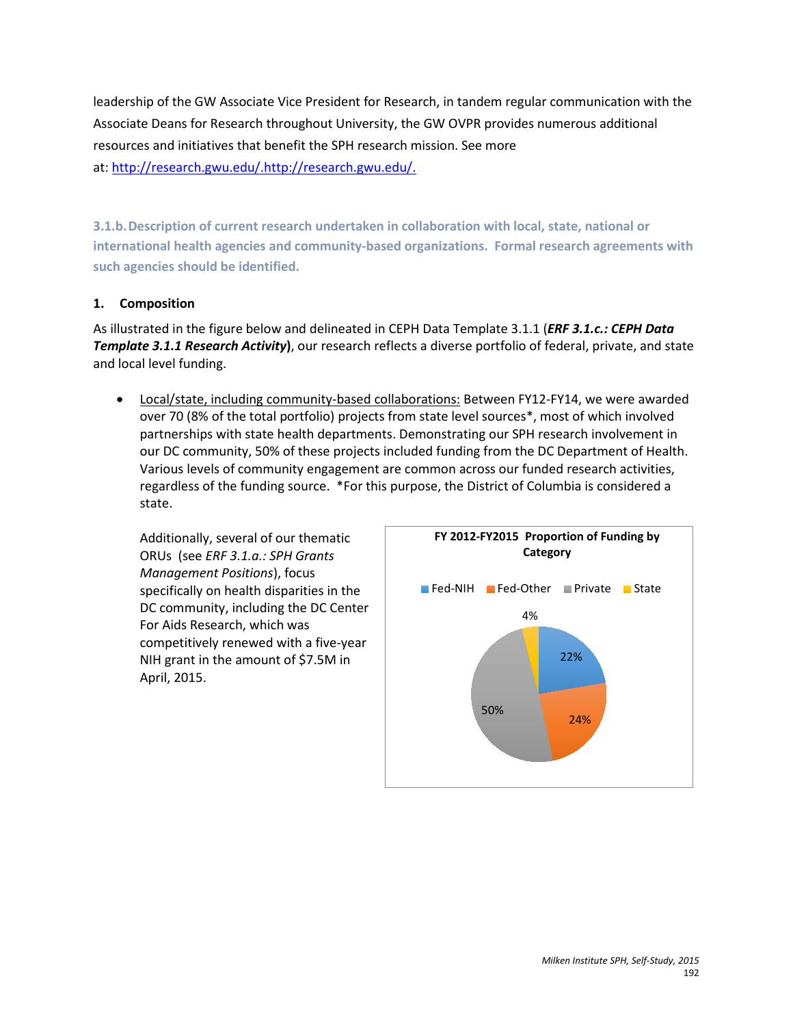leadership of the GW Associate Vice President for Research, in tandem regular communication with the Associate Deans for Research throughout University, the GW OVPR provides numerous additional resources and initiatives that benefit the SPH research mission. See more at: [http://research.gwu.edu/.http://research.gwu.edu/.](http://research.gwu.edu/)

**3.1.b.Description of current research undertaken in collaboration with local, state, national or international health agencies and community-based organizations. Formal research agreements with such agencies should be identified.**

# **1. Composition**

As illustrated in the figure below and delineated in CEPH Data Template 3.1.1 (*ERF 3.1.c.: CEPH Data Template 3.1.1 Research Activity***)**, our research reflects a diverse portfolio of federal, private, and state and local level funding.

• Local/state, including community-based collaborations: Between FY12-FY14, we were awarded over 70 (8% of the total portfolio) projects from state level sources\*, most of which involved partnerships with state health departments. Demonstrating our SPH research involvement in our DC community, 50% of these projects included funding from the DC Department of Health. Various levels of community engagement are common across our funded research activities, regardless of the funding source. \*For this purpose, the District of Columbia is considered a state.

Additionally, several of our thematic ORUs (see *ERF 3.1.a.: SPH Grants Management Positions*), focus specifically on health disparities in the DC community, including the DC Center For Aids Research, which was competitively renewed with a five-year NIH grant in the amount of \$7.5M in April, 2015.

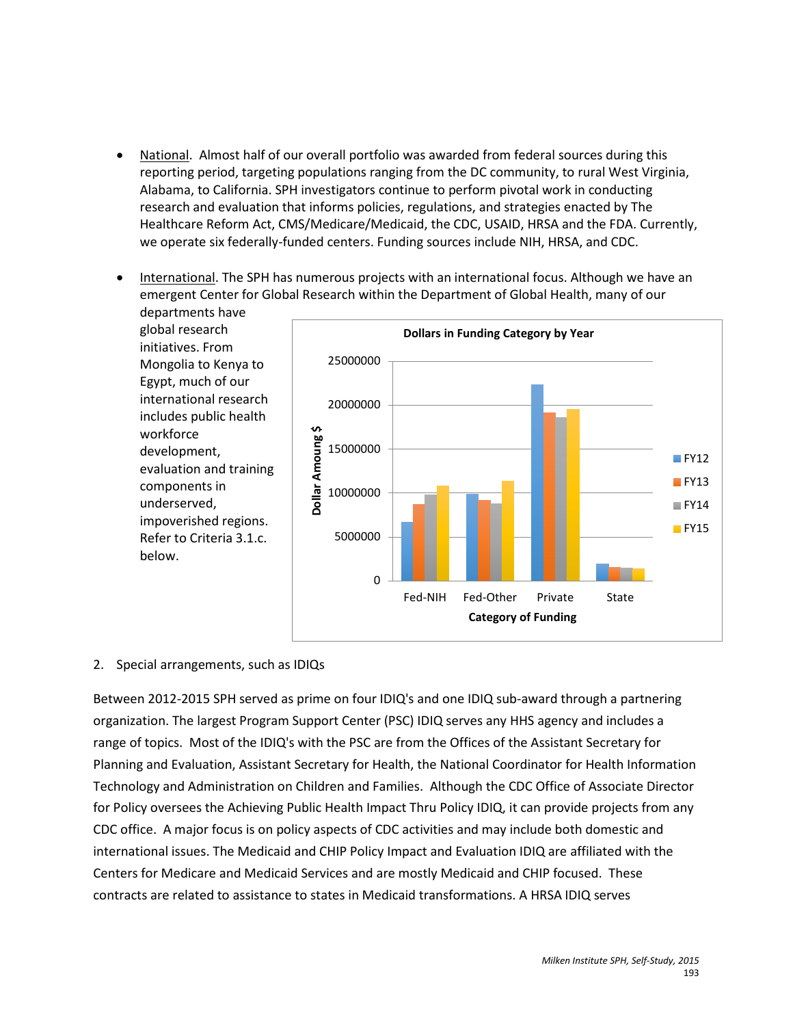- National. Almost half of our overall portfolio was awarded from federal sources during this reporting period, targeting populations ranging from the DC community, to rural West Virginia, Alabama, to California. SPH investigators continue to perform pivotal work in conducting research and evaluation that informs policies, regulations, and strategies enacted by The Healthcare Reform Act, CMS/Medicare/Medicaid, the CDC, USAID, HRSA and the FDA. Currently, we operate six federally-funded centers. Funding sources include NIH, HRSA, and CDC.
- International. The SPH has numerous projects with an international focus. Although we have an emergent Center for Global Research within the Department of Global Health, many of our



### 2. Special arrangements, such as IDIQs

Between 2012-2015 SPH served as prime on four IDIQ's and one IDIQ sub-award through a partnering organization. The largest Program Support Center (PSC) IDIQ serves any HHS agency and includes a range of topics. Most of the IDIQ's with the PSC are from the Offices of the Assistant Secretary for Planning and Evaluation, Assistant Secretary for Health, the National Coordinator for Health Information Technology and Administration on Children and Families. Although the CDC Office of Associate Director for Policy oversees the Achieving Public Health Impact Thru Policy IDIQ, it can provide projects from any CDC office. A major focus is on policy aspects of CDC activities and may include both domestic and international issues. The Medicaid and CHIP Policy Impact and Evaluation IDIQ are affiliated with the Centers for Medicare and Medicaid Services and are mostly Medicaid and CHIP focused. These contracts are related to assistance to states in Medicaid transformations. A HRSA IDIQ serves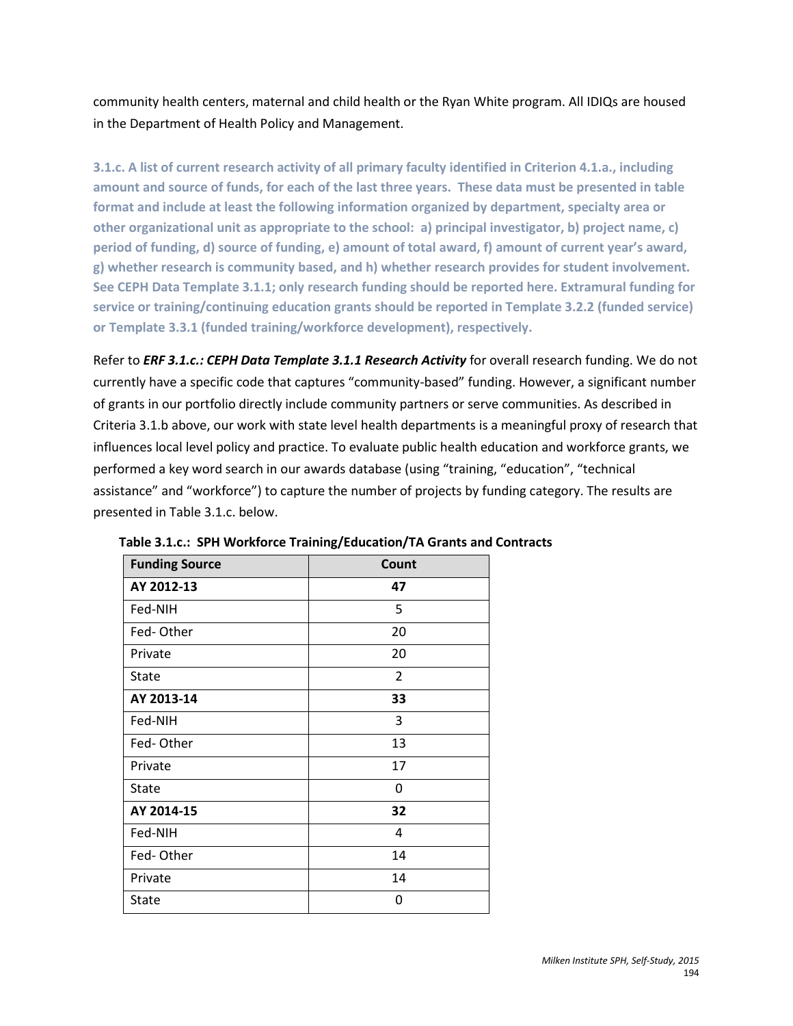community health centers, maternal and child health or the Ryan White program. All IDIQs are housed in the Department of Health Policy and Management.

**3.1.c. A list of current research activity of all primary faculty identified in Criterion 4.1.a., including amount and source of funds, for each of the last three years. These data must be presented in table format and include at least the following information organized by department, specialty area or other organizational unit as appropriate to the school: a) principal investigator, b) project name, c) period of funding, d) source of funding, e) amount of total award, f) amount of current year's award, g) whether research is community based, and h) whether research provides for student involvement. See CEPH Data Template 3.1.1; only research funding should be reported here. Extramural funding for service or training/continuing education grants should be reported in Template 3.2.2 (funded service) or Template 3.3.1 (funded training/workforce development), respectively.**

Refer to *ERF 3.1.c.: CEPH Data Template 3.1.1 Research Activity* for overall research funding. We do not currently have a specific code that captures "community-based" funding. However, a significant number of grants in our portfolio directly include community partners or serve communities. As described in Criteria 3.1.b above, our work with state level health departments is a meaningful proxy of research that influences local level policy and practice. To evaluate public health education and workforce grants, we performed a key word search in our awards database (using "training, "education", "technical assistance" and "workforce") to capture the number of projects by funding category. The results are presented in Table 3.1.c. below.

| <b>Funding Source</b> | Count |
|-----------------------|-------|
| AY 2012-13            | 47    |
| Fed-NIH               | 5     |
| Fed-Other             | 20    |
| Private               | 20    |
| <b>State</b>          | 2     |
| AY 2013-14            | 33    |
| Fed-NIH               | 3     |
| Fed-Other             | 13    |
| Private               | 17    |
| State                 | 0     |
| AY 2014-15            | 32    |
| Fed-NIH               | 4     |
| Fed-Other             | 14    |
| Private               | 14    |
| <b>State</b>          | 0     |

 **Table 3.1.c.: SPH Workforce Training/Education/TA Grants and Contracts**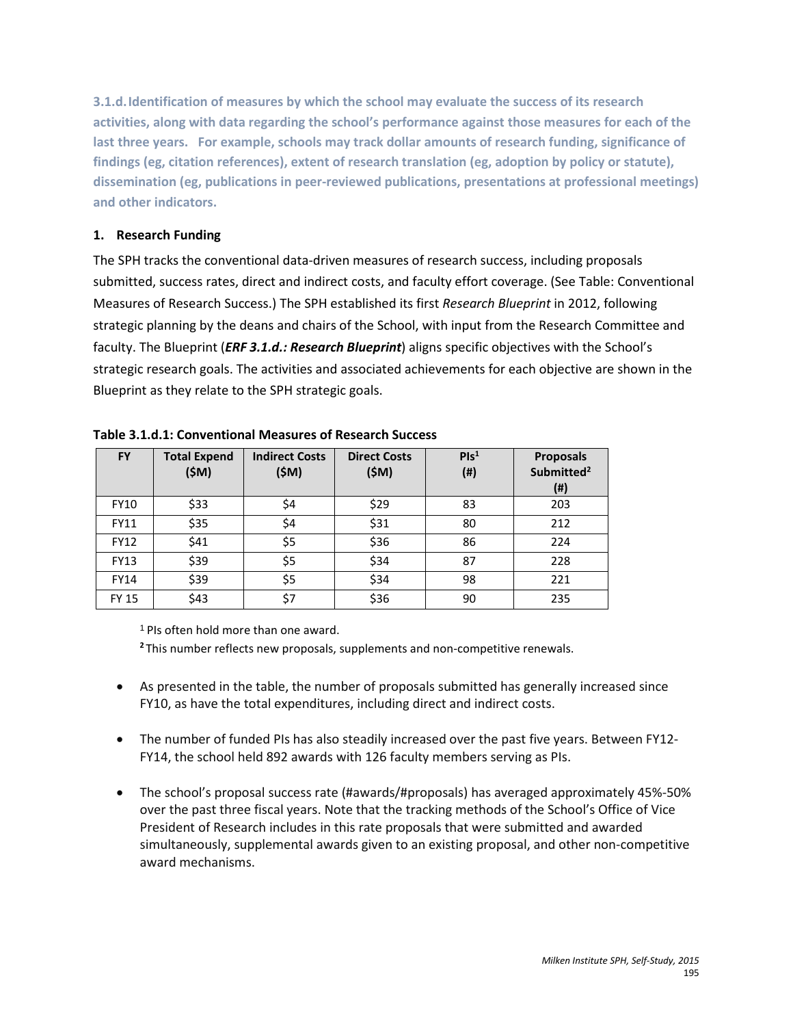**3.1.d.Identification of measures by which the school may evaluate the success of its research activities, along with data regarding the school's performance against those measures for each of the last three years. For example, schools may track dollar amounts of research funding, significance of findings (eg, citation references), extent of research translation (eg, adoption by policy or statute), dissemination (eg, publications in peer-reviewed publications, presentations at professional meetings) and other indicators.** 

# **1. Research Funding**

The SPH tracks the conventional data-driven measures of research success, including proposals submitted, success rates, direct and indirect costs, and faculty effort coverage. (See Table: Conventional Measures of Research Success.) The SPH established its first *Research Blueprint* in 2012, following strategic planning by the deans and chairs of the School, with input from the Research Committee and faculty. The Blueprint (*ERF 3.1.d.: Research Blueprint*) aligns specific objectives with the School's strategic research goals. The activities and associated achievements for each objective are shown in the Blueprint as they relate to the SPH strategic goals.

| <b>FY</b>    | <b>Total Expend</b><br>(SM) | <b>Indirect Costs</b><br>(\$M) | <b>Direct Costs</b><br>(SM) | PIs <sup>1</sup><br>$($ #) | <b>Proposals</b><br>Submitted <sup>2</sup><br>(#) |
|--------------|-----------------------------|--------------------------------|-----------------------------|----------------------------|---------------------------------------------------|
| <b>FY10</b>  | \$33                        | \$4                            | \$29                        | 83                         | 203                                               |
| <b>FY11</b>  | \$35                        | \$4                            | \$31                        | 80                         | 212                                               |
| <b>FY12</b>  | \$41                        | \$5                            | \$36                        | 86                         | 224                                               |
| <b>FY13</b>  | \$39                        | \$5                            | \$34                        | 87                         | 228                                               |
| <b>FY14</b>  | \$39                        | \$5                            | \$34                        | 98                         | 221                                               |
| <b>FY 15</b> | \$43                        | \$7                            | \$36                        | 90                         | 235                                               |

# **Table 3.1.d.1: Conventional Measures of Research Success**

<sup>1</sup> PIs often hold more than one award.

**<sup>2</sup>** This number reflects new proposals, supplements and non-competitive renewals.

- As presented in the table, the number of proposals submitted has generally increased since FY10, as have the total expenditures, including direct and indirect costs.
- The number of funded PIs has also steadily increased over the past five years. Between FY12- FY14, the school held 892 awards with 126 faculty members serving as PIs.
- The school's proposal success rate (#awards/#proposals) has averaged approximately 45%-50% over the past three fiscal years. Note that the tracking methods of the School's Office of Vice President of Research includes in this rate proposals that were submitted and awarded simultaneously, supplemental awards given to an existing proposal, and other non-competitive award mechanisms.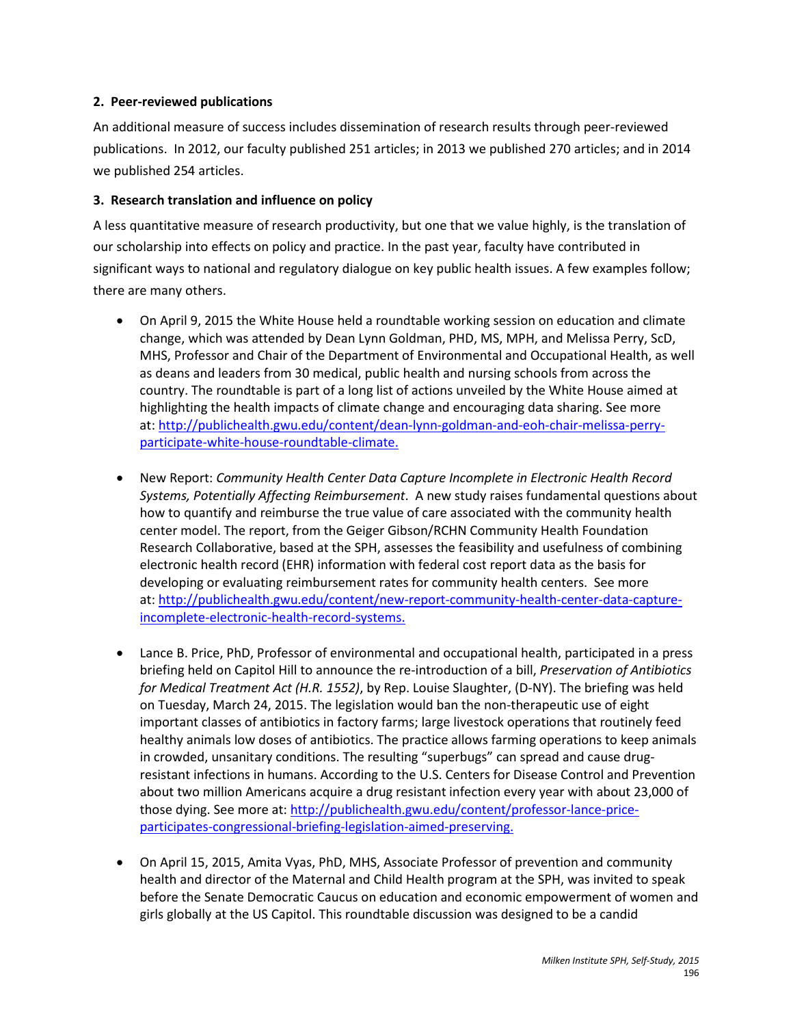## **2. Peer-reviewed publications**

An additional measure of success includes dissemination of research results through peer-reviewed publications. In 2012, our faculty published 251 articles; in 2013 we published 270 articles; and in 2014 we published 254 articles.

# **3. Research translation and influence on policy**

A less quantitative measure of research productivity, but one that we value highly, is the translation of our scholarship into effects on policy and practice. In the past year, faculty have contributed in significant ways to national and regulatory dialogue on key public health issues. A few examples follow; there are many others.

- On April 9, 2015 the White House held a roundtable working session on education and climate change, which was attended by Dean Lynn Goldman, PHD, MS, MPH, and Melissa Perry, ScD, MHS, Professor and Chair of the Department of Environmental and Occupational Health, as well as deans and leaders from 30 medical, public health and nursing schools from across the country. The roundtable is part of a long list of actions unveiled by the White House aimed at highlighting the health impacts of climate change and encouraging data sharing. See more at: [http://publichealth.gwu.edu/content/dean-lynn-goldman-and-eoh-chair-melissa-perry](http://publichealth.gwu.edu/content/dean-lynn-goldman-and-eoh-chair-melissa-perry-participate-white-house-roundtable-climate)[participate-white-house-roundtable-climate.](http://publichealth.gwu.edu/content/dean-lynn-goldman-and-eoh-chair-melissa-perry-participate-white-house-roundtable-climate)
- New Report: *Community Health Center Data Capture Incomplete in Electronic Health Record Systems, Potentially Affecting Reimbursement*. A new study raises fundamental questions about how to quantify and reimburse the true value of care associated with the community health center model. The report, from the Geiger Gibson/RCHN Community Health Foundation Research Collaborative, based at the SPH, assesses the feasibility and usefulness of combining electronic health record (EHR) information with federal cost report data as the basis for developing or evaluating reimbursement rates for community health centers. See more at: [http://publichealth.gwu.edu/content/new-report-community-health-center-data-capture](http://publichealth.gwu.edu/content/new-report-community-health-center-data-capture-incomplete-electronic-health-record-systems)[incomplete-electronic-health-record-systems.](http://publichealth.gwu.edu/content/new-report-community-health-center-data-capture-incomplete-electronic-health-record-systems)
- Lance B. Price, PhD, Professor of environmental and occupational health, participated in a press briefing held on Capitol Hill to announce the re-introduction of a bill, *Preservation of Antibiotics for Medical Treatment Act (H.R. 1552)*, by Rep. Louise Slaughter, (D-NY). The briefing was held on Tuesday, March 24, 2015. The legislation would ban the non-therapeutic use of eight important classes of antibiotics in factory farms; large livestock operations that routinely feed healthy animals low doses of antibiotics. The practice allows farming operations to keep animals in crowded, unsanitary conditions. The resulting "superbugs" can spread and cause drugresistant infections in humans. According to the U.S. Centers for Disease Control and Prevention about two million Americans acquire a drug resistant infection every year with about 23,000 of those dying. See more at: [http://publichealth.gwu.edu/content/professor-lance-price](http://publichealth.gwu.edu/content/professor-lance-price-participates-congressional-briefing-legislation-aimed-preserving)[participates-congressional-briefing-legislation-aimed-preserving.](http://publichealth.gwu.edu/content/professor-lance-price-participates-congressional-briefing-legislation-aimed-preserving)
- On April 15, 2015, Amita Vyas, PhD, MHS, Associate Professor of prevention and community health and director of the Maternal and Child Health program at the SPH, was invited to speak before the Senate Democratic Caucus on education and economic empowerment of women and girls globally at the US Capitol. This roundtable discussion was designed to be a candid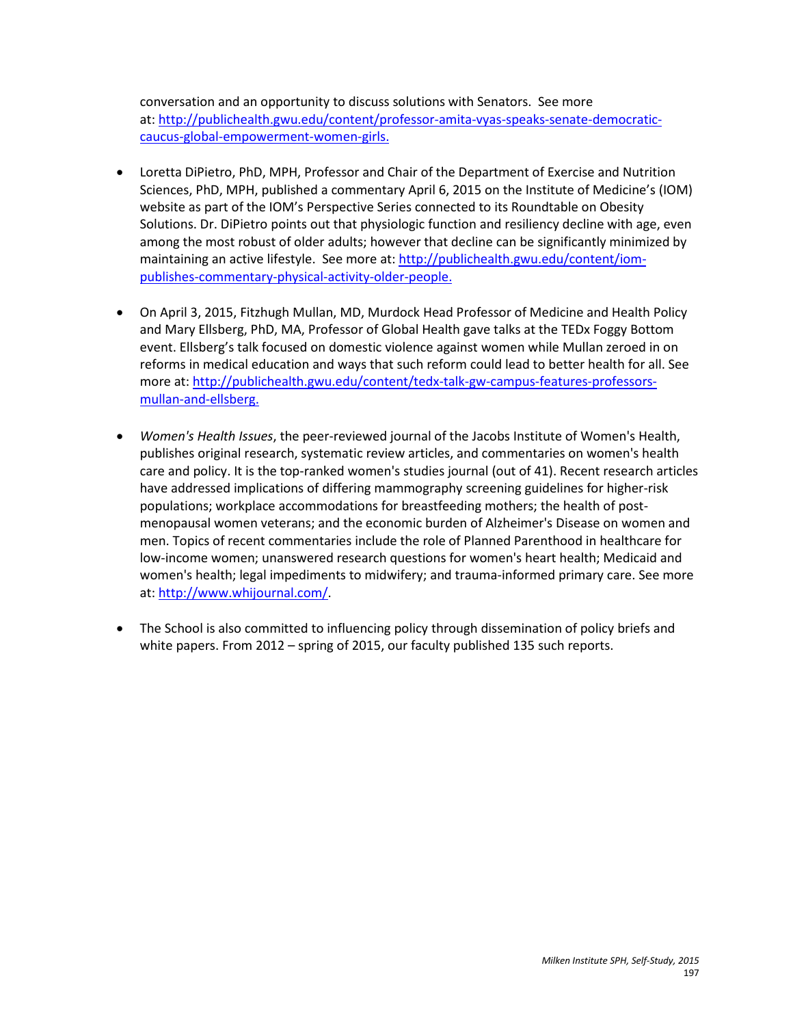conversation and an opportunity to discuss solutions with Senators. See more at: [http://publichealth.gwu.edu/content/professor-amita-vyas-speaks-senate-democratic](http://publichealth.gwu.edu/content/professor-amita-vyas-speaks-senate-democratic-caucus-global-empowerment-women-girls)[caucus-global-empowerment-women-girls.](http://publichealth.gwu.edu/content/professor-amita-vyas-speaks-senate-democratic-caucus-global-empowerment-women-girls)

- Loretta DiPietro, PhD, MPH, Professor and Chair of the Department of Exercise and Nutrition Sciences, PhD, MPH, published a commentary April 6, 2015 on the Institute of Medicine's (IOM) website as part of the IOM's Perspective Series connected to its Roundtable on Obesity Solutions. Dr. DiPietro points out that physiologic function and resiliency decline with age, even among the most robust of older adults; however that decline can be significantly minimized by maintaining an active lifestyle. See more at: [http://publichealth.gwu.edu/content/iom](http://publichealth.gwu.edu/content/iom-publishes-commentary-physical-activity-older-people)[publishes-commentary-physical-activity-older-people.](http://publichealth.gwu.edu/content/iom-publishes-commentary-physical-activity-older-people)
- On April 3, 2015, Fitzhugh Mullan, MD, Murdock Head Professor of Medicine and Health Policy and Mary Ellsberg, PhD, MA, Professor of Global Health gave talks at the TEDx Foggy Bottom event. Ellsberg's talk focused on domestic violence against women while Mullan zeroed in on reforms in medical education and ways that such reform could lead to better health for all. See more at: [http://publichealth.gwu.edu/content/tedx-talk-gw-campus-features-professors](http://publichealth.gwu.edu/content/tedx-talk-gw-campus-features-professors-mullan-and-ellsberg)[mullan-and-ellsberg.](http://publichealth.gwu.edu/content/tedx-talk-gw-campus-features-professors-mullan-and-ellsberg)
- *Women's Health Issues*, the peer-reviewed journal of the Jacobs Institute of Women's Health, publishes original research, systematic review articles, and commentaries on women's health care and policy. It is the top-ranked women's studies journal (out of 41). Recent research articles have addressed implications of differing mammography screening guidelines for higher-risk populations; workplace accommodations for breastfeeding mothers; the health of postmenopausal women veterans; and the economic burden of Alzheimer's Disease on women and men. Topics of recent commentaries include the role of Planned Parenthood in healthcare for low-income women; unanswered research questions for women's heart health; Medicaid and women's health; legal impediments to midwifery; and trauma-informed primary care. See more at: [http://www.whijournal.com/.](http://www.whijournal.com/)
- The School is also committed to influencing policy through dissemination of policy briefs and white papers. From 2012 – spring of 2015, our faculty published 135 such reports.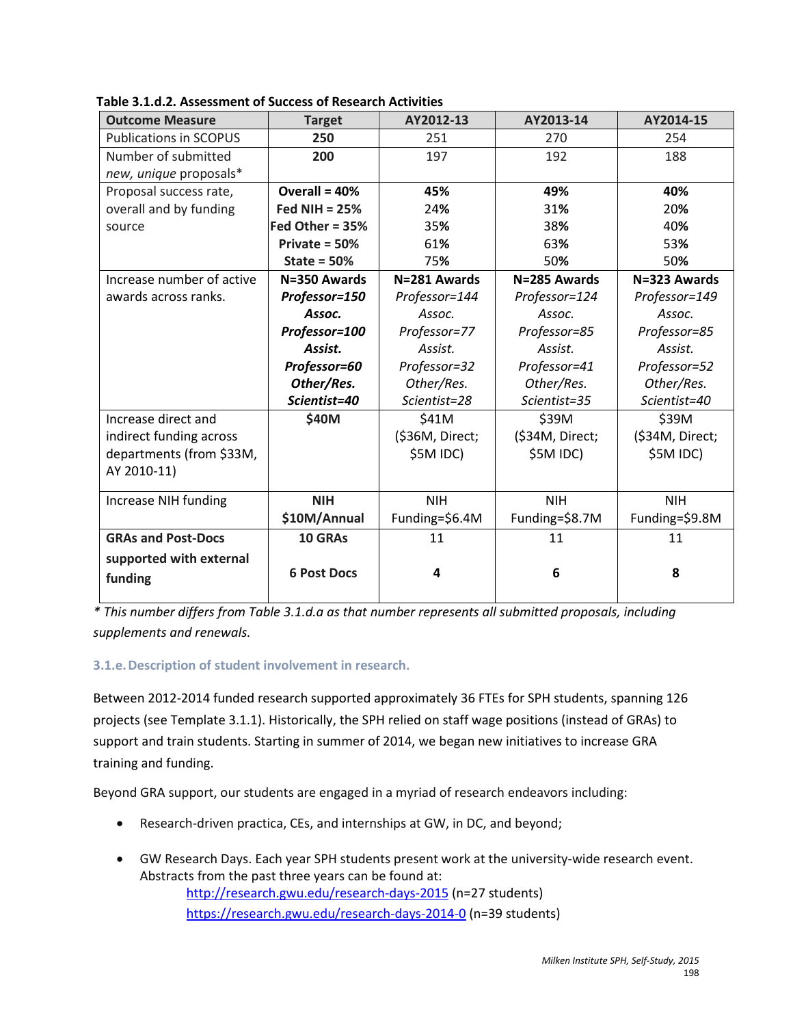| <b>Outcome Measure</b>        | <b>Target</b>      | AY2012-13       | AY2013-14       | AY2014-15       |
|-------------------------------|--------------------|-----------------|-----------------|-----------------|
| <b>Publications in SCOPUS</b> | 250                | 251             | 270             | 254             |
| Number of submitted           | 200                | 197             | 192             | 188             |
| new, unique proposals*        |                    |                 |                 |                 |
| Proposal success rate,        | Overall = $40%$    | 45%             | 49%             | 40%             |
| overall and by funding        | Fed NIH = $25%$    | 24%             | 31%             | 20%             |
| source                        | Fed Other = 35%    | 35%             | 38%             | 40%             |
|                               | Private = $50%$    | 61%             | 63%             | 53%             |
|                               | State = $50%$      | 75%             | 50%             | 50%             |
| Increase number of active     | N=350 Awards       | N=281 Awards    | N=285 Awards    | N=323 Awards    |
| awards across ranks.          | Professor=150      | Professor=144   | Professor=124   | Professor=149   |
|                               | Assoc.             | Assoc.          | Assoc.          | Assoc.          |
|                               | Professor=100      | Professor=77    | Professor=85    | Professor=85    |
|                               | Assist.            | Assist.         | Assist.         | Assist.         |
|                               | Professor=60       | Professor=32    | Professor=41    | Professor=52    |
|                               | Other/Res.         | Other/Res.      | Other/Res.      | Other/Res.      |
|                               | Scientist=40       | Scientist=28    | Scientist=35    | Scientist=40    |
| Increase direct and           | \$40M              | \$41M           | \$39M           | \$39M           |
| indirect funding across       |                    | (\$36M, Direct; | (\$34M, Direct; | (\$34M, Direct; |
| departments (from \$33M,      |                    | \$5M IDC)       | \$5M IDC)       | \$5M IDC)       |
| AY 2010-11)                   |                    |                 |                 |                 |
| Increase NIH funding          | <b>NIH</b>         | <b>NIH</b>      | <b>NIH</b>      | <b>NIH</b>      |
|                               | \$10M/Annual       | Funding=\$6.4M  | Funding=\$8.7M  | Funding=\$9.8M  |
| <b>GRAs and Post-Docs</b>     | 10 GRAs            | 11              | 11              | 11              |
| supported with external       |                    |                 |                 |                 |
| funding                       | <b>6 Post Docs</b> | 4               | 6               | 8               |
|                               |                    |                 |                 |                 |

**Table 3.1.d.2. Assessment of Success of Research Activities**

*\* This number differs from Table 3.1.d.a as that number represents all submitted proposals, including supplements and renewals.* 

# **3.1.e.Description of student involvement in research.**

Between 2012-2014 funded research supported approximately 36 FTEs for SPH students, spanning 126 projects (see Template 3.1.1). Historically, the SPH relied on staff wage positions (instead of GRAs) to support and train students. Starting in summer of 2014, we began new initiatives to increase GRA training and funding.

Beyond GRA support, our students are engaged in a myriad of research endeavors including:

- Research-driven practica, CEs, and internships at GW, in DC, and beyond;
- GW Research Days. Each year SPH students present work at the university-wide research event. Abstracts from the past three years can be found at: <http://research.gwu.edu/research-days-2015> (n=27 students) <https://research.gwu.edu/research-days-2014-0> (n=39 students)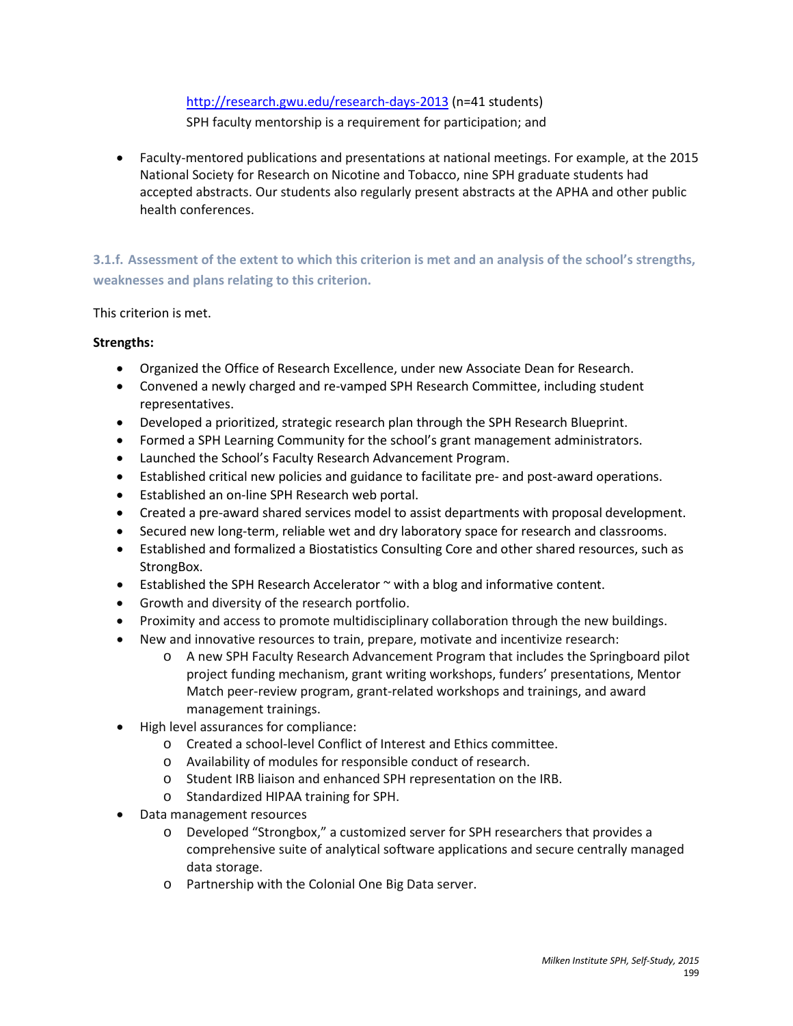<http://research.gwu.edu/research-days-2013> (n=41 students) SPH faculty mentorship is a requirement for participation; and

• Faculty-mentored publications and presentations at national meetings. For example, at the 2015 National Society for Research on Nicotine and Tobacco, nine SPH graduate students had accepted abstracts. Our students also regularly present abstracts at the APHA and other public health conferences.

**3.1.f. Assessment of the extent to which this criterion is met and an analysis of the school's strengths, weaknesses and plans relating to this criterion.**

This criterion is met.

# **Strengths:**

- Organized the Office of Research Excellence, under new Associate Dean for Research.
- Convened a newly charged and re-vamped SPH Research Committee, including student representatives.
- Developed a prioritized, strategic research plan through the SPH Research Blueprint.
- Formed a SPH Learning Community for the school's grant management administrators.
- Launched the School's Faculty Research Advancement Program.
- Established critical new policies and guidance to facilitate pre- and post-award operations.
- Established an on-line SPH Research web portal.
- Created a pre-award shared services model to assist departments with proposal development.
- Secured new long-term, reliable wet and dry laboratory space for research and classrooms.
- Established and formalized a Biostatistics Consulting Core and other shared resources, such as StrongBox.
- **•** Established the SPH Research Accelerator  $\sim$  with a blog and informative content.
- Growth and diversity of the research portfolio.
- Proximity and access to promote multidisciplinary collaboration through the new buildings.
- New and innovative resources to train, prepare, motivate and incentivize research:
	- o A new SPH Faculty Research Advancement Program that includes the Springboard pilot project funding mechanism, grant writing workshops, funders' presentations, Mentor Match peer-review program, grant-related workshops and trainings, and award management trainings.
- High level assurances for compliance:
	- o Created a school-level Conflict of Interest and Ethics committee.
	- o Availability of modules for responsible conduct of research.
	- o Student IRB liaison and enhanced SPH representation on the IRB.
	- o Standardized HIPAA training for SPH.
- Data management resources
	- o Developed "Strongbox," a customized server for SPH researchers that provides a comprehensive suite of analytical software applications and secure centrally managed data storage.
	- o Partnership with the Colonial One Big Data server.